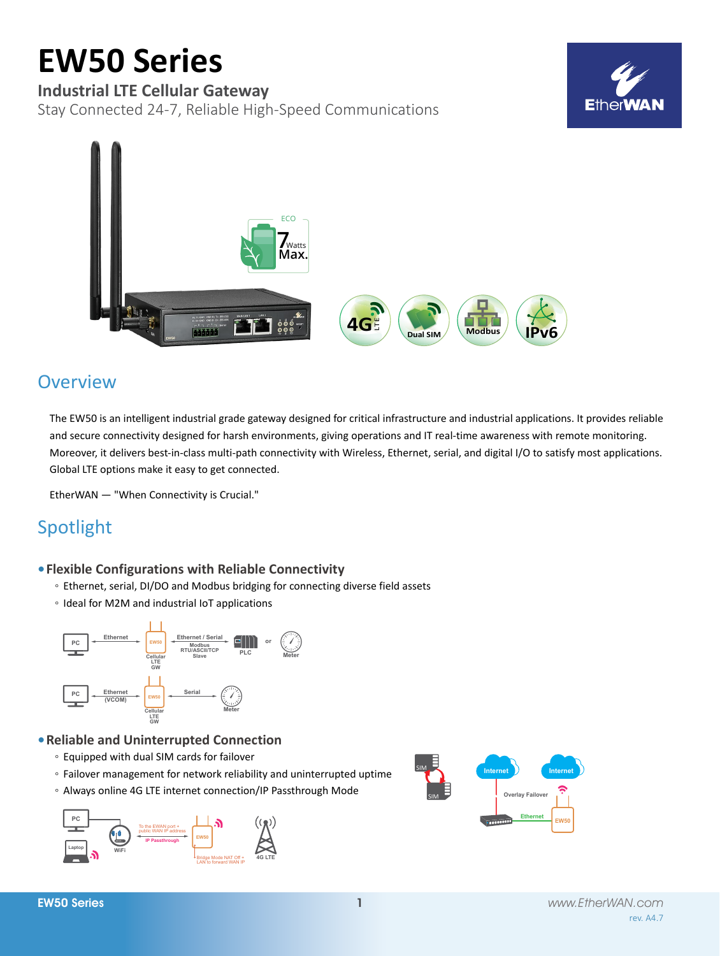# **EW50 Series**

# **Industrial LTE Cellular Gateway**

Stay Connected 24-7, Reliable High-Speed Communications





# **Overview**

The EW50 is an intelligent industrial grade gateway designed for critical infrastructure and industrial applications. It provides reliable and secure connectivity designed for harsh environments, giving operations and IT real-time awareness with remote monitoring. Moreover, it delivers best-in-class multi-path connectivity with Wireless, Ethernet, serial, and digital I/O to satisfy most applications. Global LTE options make it easy to get connected.

EtherWAN — "When Connectivity is Crucial."

# Spotlight

### **• Flexible Configurations with Reliable Connectivity**

- Ethernet, serial, DI/DO and Modbus bridging for connecting diverse field assets
- Ideal for M2M and industrial IoT applications



### **• Reliable and Uninterrupted Connection**

- Equipped with dual SIM cards for failover
- Failover management for network reliability and uninterrupted uptime
- Always online 4G LTE internet connection/IP Passthrough Mode



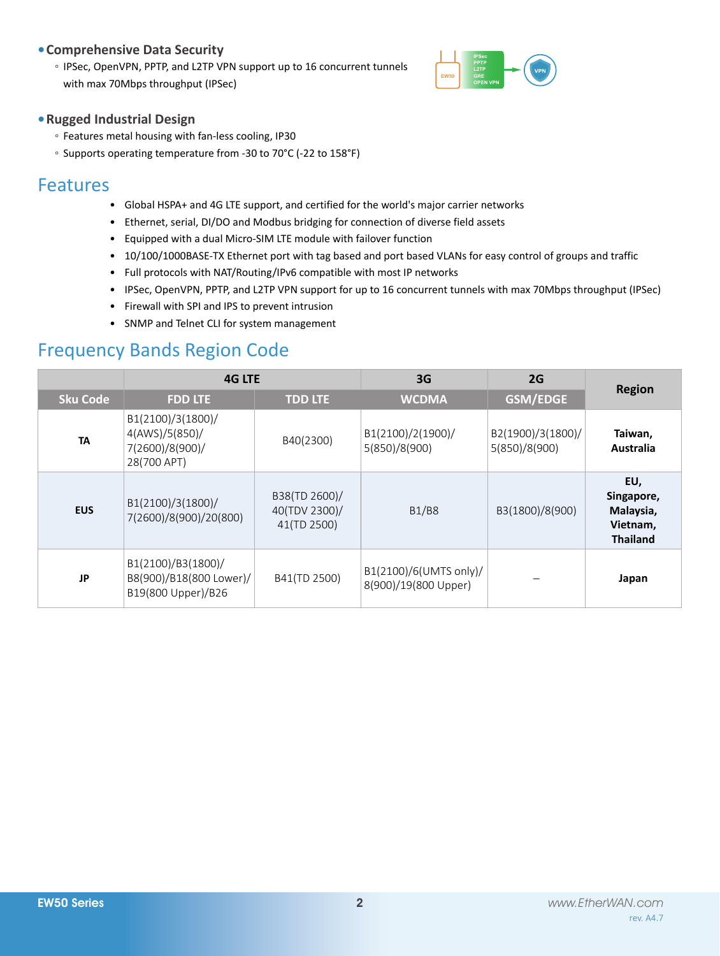### **• Comprehensive Data Security**

◦ IPSec, OpenVPN, PPTP, and L2TP VPN support up to 16 concurrent tunnels with max 70Mbps throughput (IPSec)



### **• Rugged Industrial Design**

- Features metal housing with fan-less cooling, IP30
- Supports operating temperature from -30 to 70°C (-22 to 158°F)

# Features

- Global HSPA+ and 4G LTE support, and certified for the world's major carrier networks
- • Ethernet, serial, DI/DO and Modbus bridging for connection of diverse field assets
- • Equipped with a dual Micro-SIM LTE module with failover function
- • 10/100/1000BASE-TX Ethernet port with tag based and port based VLANs for easy control of groups and traffic
- Full protocols with NAT/Routing/IPv6 compatible with most IP networks
- • IPSec, OpenVPN, PPTP, and L2TP VPN support for up to 16 concurrent tunnels with max 70Mbps throughput (IPSec)
- • Firewall with SPI and IPS to prevent intrusion
- • SNMP and Telnet CLI for system management

# Frequency Bands Region Code

|                 | <b>4G LTE</b>                                                         |                                               | 3G                                             | 2G                                 |                                                               |  |
|-----------------|-----------------------------------------------------------------------|-----------------------------------------------|------------------------------------------------|------------------------------------|---------------------------------------------------------------|--|
| <b>Sku Code</b> | <b>FDD LTE</b>                                                        | <b>TDD LTE</b>                                | <b>WCDMA</b>                                   | <b>GSM/EDGE</b>                    | <b>Region</b>                                                 |  |
| <b>TA</b>       | B1(2100)/3(1800)/<br>4(AWS)/5(850)/<br>7(2600)/8(900)/<br>28(700 APT) | B40(2300)                                     | B1(2100)/2(1900)/<br>5(850)/8(900)             | B2(1900)/3(1800)/<br>5(850)/8(900) | Taiwan,<br>Australia                                          |  |
| <b>EUS</b>      | B1(2100)/3(1800)/<br>7(2600)/8(900)/20(800)                           | B38(TD 2600)/<br>40(TDV 2300)/<br>41(TD 2500) | <b>B1/B8</b>                                   | B3(1800)/8(900)                    | EU,<br>Singapore,<br>Malaysia,<br>Vietnam,<br><b>Thailand</b> |  |
| JP              | B1(2100)/B3(1800)/<br>B8(900)/B18(800 Lower)/<br>B19(800 Upper)/B26   | B41(TD 2500)                                  | B1(2100)/6(UMTS only)/<br>8(900)/19(800 Upper) |                                    | Japan                                                         |  |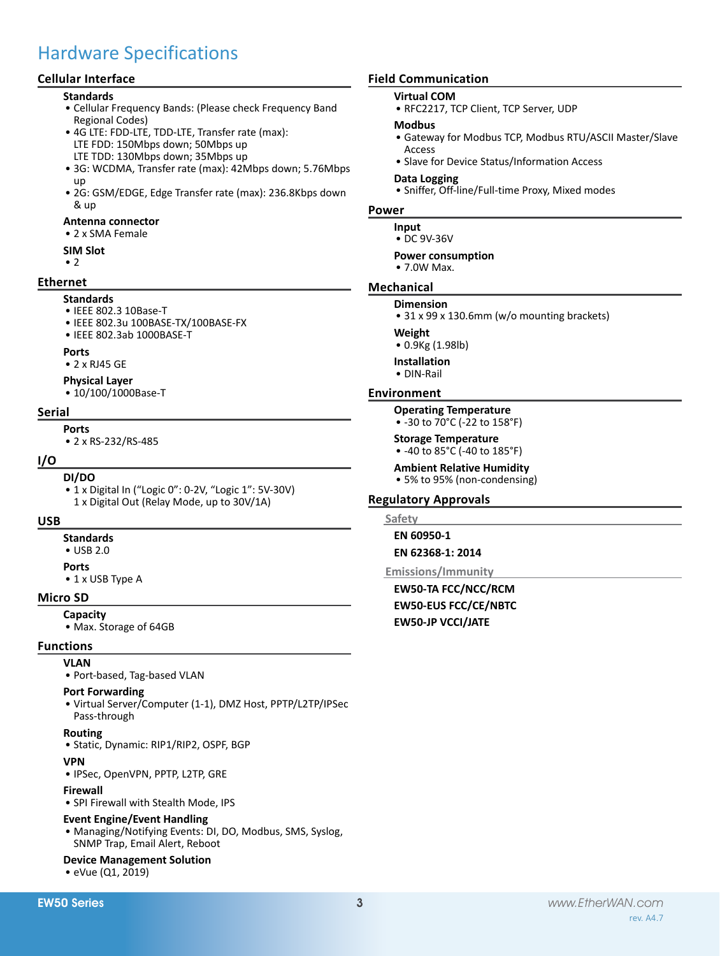# Hardware Specifications

### **Cellular Interface**

#### **Standards**

- • Cellular Frequency Bands: (Please check Frequency Band Regional Codes)
- 4G LTE: FDD-LTE, TDD-LTE, Transfer rate (max): LTE FDD: 150Mbps down; 50Mbps up LTE TDD: 130Mbps down; 35Mbps up
- 3G: WCDMA, Transfer rate (max): 42Mbps down; 5.76Mbps up
- 2G: GSM/EDGE, Edge Transfer rate (max): 236.8Kbps down & up

#### **Antenna connector**

• 2 x SMA Female

#### **SIM Slot**

 $\cdot$  2

#### **Ethernet**

**Standards**

#### • IEEE 802.3 10Base-T

- • IEEE 802.3u 100BASE-TX/100BASE-FX
- • IEEE 802.3ab 1000BASE-T

#### **Ports**

• 2 x RJ45 GE

#### **Physical Layer**

• 10/100/1000Base-T

#### **Serial**

#### **Ports**

• 2 x RS-232/RS-485

#### **I/O**

#### **DI/DO**

• 1 x Digital In ("Logic 0": 0-2V, "Logic 1": 5V-30V) 1 x Digital Out (Relay Mode, up to 30V/1A)

#### **USB**

**Standards**

# • USB 2.0

- **Ports**
- 1 x USB Type A

### **Micro SD**

- **Capacity**
- Max. Storage of 64GB

### **Functions**

- **VLAN**
	- • Port-based, Tag-based VLAN

#### **Port Forwarding**

• Virtual Server/Computer (1-1), DMZ Host, PPTP/L2TP/IPSec Pass-through

#### **Routing**

• Static, Dynamic: RIP1/RIP2, OSPF, BGP

#### **VPN**

• IPSec, OpenVPN, PPTP, L2TP, GRE

#### **Firewall**

• SPI Firewall with Stealth Mode, IPS

#### **Event Engine/Event Handling**

• Managing/Notifying Events: DI, DO, Modbus, SMS, Syslog, SNMP Trap, Email Alert, Reboot

#### **Device Management Solution**

#### **Field Communication**

#### **Virtual COM**

• RFC2217, TCP Client, TCP Server, UDP

#### **Modbus**

- • Gateway for Modbus TCP, Modbus RTU/ASCII Master/Slave Access
- Slave for Device Status/Information Access

#### **Data Logging**

• Sniffer, Off-line/Full-time Proxy, Mixed modes

#### **Power**

- **Input**
- • DC 9V-36V

#### **Power consumption**

• 7.0W Max.

#### **Mechanical**

- **Dimension**
- 31 x 99 x 130.6mm (w/o mounting brackets)

#### **Weight**

- • 0.9Kg (1.98lb)
- **Installation**
- • DIN-Rail

#### **Environment**

#### **Operating Temperature**

• -30 to 70°C (-22 to 158°F)

#### **Storage Temperature**

• -40 to 85°C (-40 to 185°F)

#### **Ambient Relative Humidity**

• 5% to 95% (non-condensing)

#### **Regulatory Approvals**

#### **Safety**

**EN 60950-1 EN 62368-1: 2014**

#### **Emissions/Immunity**

**EW50-TA FCC/NCC/RCM EW50-EUS FCC/CE/NBTC EW50-JP VCCI/JATE**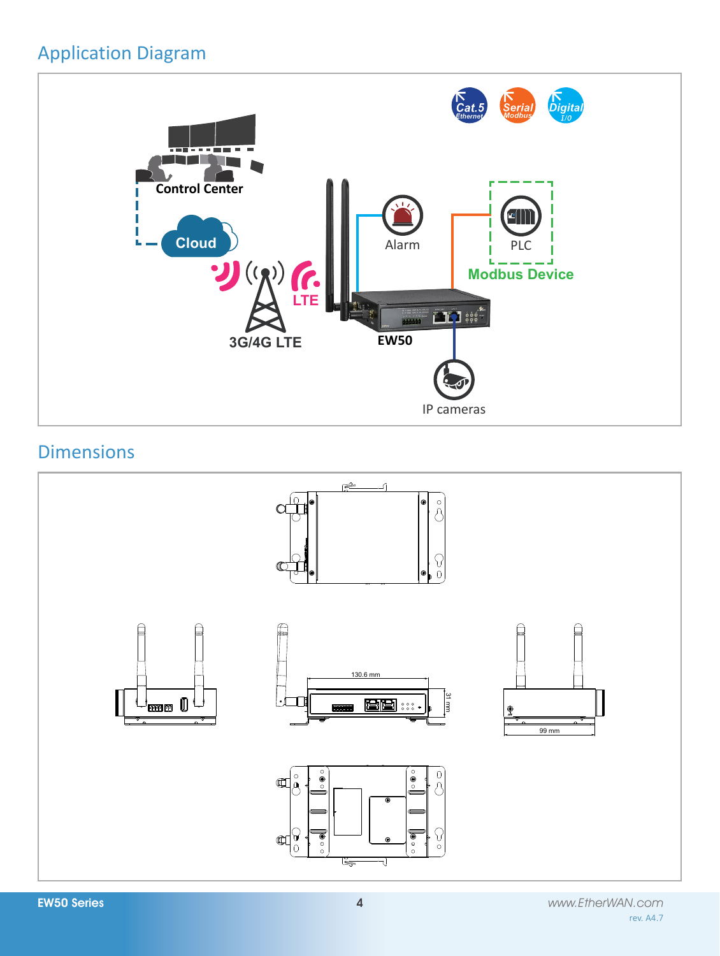# Application Diagram



# Dimensions